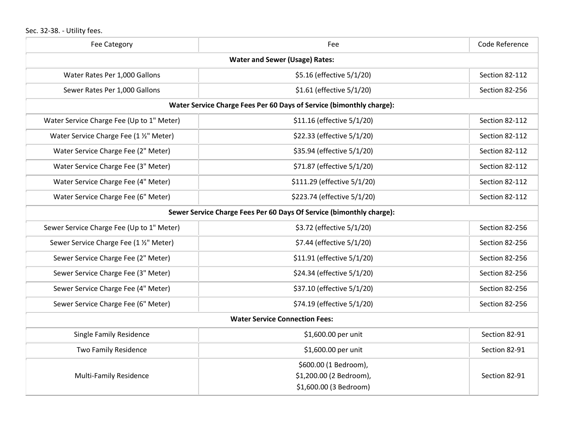## Sec. 32-38. - Utility fees.

| <b>Fee Category</b>                                                  | Fee                                                                        | Code Reference |  |  |
|----------------------------------------------------------------------|----------------------------------------------------------------------------|----------------|--|--|
| <b>Water and Sewer (Usage) Rates:</b>                                |                                                                            |                |  |  |
| Water Rates Per 1,000 Gallons                                        | \$5.16 (effective 5/1/20)                                                  | Section 82-112 |  |  |
| Sewer Rates Per 1,000 Gallons                                        | \$1.61 (effective 5/1/20)                                                  | Section 82-256 |  |  |
| Water Service Charge Fees Per 60 Days of Service (bimonthly charge): |                                                                            |                |  |  |
| Water Service Charge Fee (Up to 1" Meter)                            | \$11.16 (effective 5/1/20)                                                 | Section 82-112 |  |  |
| Water Service Charge Fee (1 1/2" Meter)                              | \$22.33 (effective 5/1/20)                                                 | Section 82-112 |  |  |
| Water Service Charge Fee (2" Meter)                                  | \$35.94 (effective 5/1/20)                                                 | Section 82-112 |  |  |
| Water Service Charge Fee (3" Meter)                                  | \$71.87 (effective 5/1/20)                                                 | Section 82-112 |  |  |
| Water Service Charge Fee (4" Meter)                                  | \$111.29 (effective 5/1/20)                                                | Section 82-112 |  |  |
| Water Service Charge Fee (6" Meter)                                  | \$223.74 (effective 5/1/20)                                                | Section 82-112 |  |  |
| Sewer Service Charge Fees Per 60 Days Of Service (bimonthly charge): |                                                                            |                |  |  |
| Sewer Service Charge Fee (Up to 1" Meter)                            | \$3.72 (effective 5/1/20)                                                  | Section 82-256 |  |  |
| Sewer Service Charge Fee (1 1/2" Meter)                              | \$7.44 (effective 5/1/20)                                                  | Section 82-256 |  |  |
| Sewer Service Charge Fee (2" Meter)                                  | \$11.91 (effective 5/1/20)                                                 | Section 82-256 |  |  |
| Sewer Service Charge Fee (3" Meter)                                  | \$24.34 (effective 5/1/20)                                                 | Section 82-256 |  |  |
| Sewer Service Charge Fee (4" Meter)                                  | \$37.10 (effective 5/1/20)                                                 | Section 82-256 |  |  |
| Sewer Service Charge Fee (6" Meter)                                  | \$74.19 (effective 5/1/20)                                                 | Section 82-256 |  |  |
| <b>Water Service Connection Fees:</b>                                |                                                                            |                |  |  |
| <b>Single Family Residence</b>                                       | \$1,600.00 per unit                                                        | Section 82-91  |  |  |
| Two Family Residence                                                 | \$1,600.00 per unit                                                        | Section 82-91  |  |  |
| <b>Multi-Family Residence</b>                                        | \$600.00 (1 Bedroom),<br>\$1,200.00 (2 Bedroom),<br>\$1,600.00 (3 Bedroom) | Section 82-91  |  |  |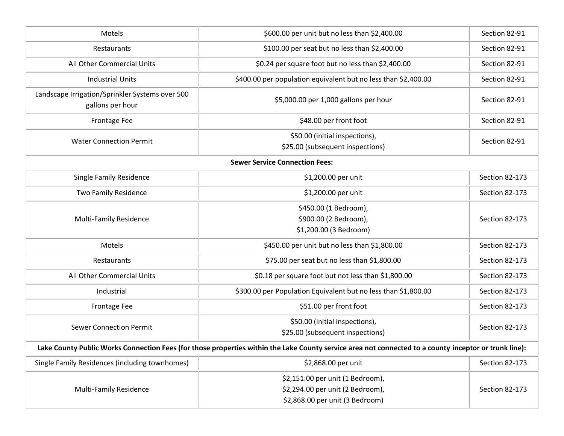| Motels                                                                                                                                                | \$600.00 per unit but no less than \$2,400.00                                                           | Section 82-91  |  |  |
|-------------------------------------------------------------------------------------------------------------------------------------------------------|---------------------------------------------------------------------------------------------------------|----------------|--|--|
| Restaurants                                                                                                                                           | \$100.00 per seat but no less than \$2,400.00                                                           | Section 82-91  |  |  |
| All Other Commercial Units                                                                                                                            | \$0.24 per square foot but no less than \$2,400.00                                                      | Section 82-91  |  |  |
| <b>Industrial Units</b>                                                                                                                               | \$400.00 per population equivalent but no less than \$2,400.00                                          | Section 82-91  |  |  |
| Landscape Irrigation/Sprinkler Systems over 500<br>gallons per hour                                                                                   | \$5,000.00 per 1,000 gallons per hour                                                                   | Section 82-91  |  |  |
| Frontage Fee                                                                                                                                          | \$48.00 per front foot                                                                                  | Section 82-91  |  |  |
| <b>Water Connection Permit</b>                                                                                                                        | \$50.00 (initial inspections),<br>\$25.00 (subsequent inspections)                                      | Section 82-91  |  |  |
| <b>Sewer Service Connection Fees:</b>                                                                                                                 |                                                                                                         |                |  |  |
| <b>Single Family Residence</b>                                                                                                                        | \$1,200.00 per unit                                                                                     | Section 82-173 |  |  |
| <b>Two Family Residence</b>                                                                                                                           | \$1,200.00 per unit                                                                                     | Section 82-173 |  |  |
| <b>Multi-Family Residence</b>                                                                                                                         | \$450.00 (1 Bedroom),<br>\$900.00 (2 Bedroom),<br>\$1,200.00 (3 Bedroom)                                | Section 82-173 |  |  |
| Motels                                                                                                                                                | \$450.00 per unit but no less than \$1,800.00                                                           | Section 82-173 |  |  |
| Restaurants                                                                                                                                           | \$75.00 per seat but no less than \$1,800.00                                                            | Section 82-173 |  |  |
| All Other Commercial Units                                                                                                                            | \$0.18 per square foot but not less than \$1,800.00                                                     | Section 82-173 |  |  |
| Industrial                                                                                                                                            | \$300.00 per Population Equivalent but no less than \$1,800.00                                          | Section 82-173 |  |  |
| Frontage Fee                                                                                                                                          | \$51.00 per front foot                                                                                  | Section 82-173 |  |  |
| <b>Sewer Connection Permit</b>                                                                                                                        | \$50.00 (initial inspections),<br>\$25.00 (subsequent inspections)                                      | Section 82-173 |  |  |
| Lake County Public Works Connection Fees (for those properties within the Lake County service area not connected to a county inceptor or trunk line): |                                                                                                         |                |  |  |
| Single Family Residences (including townhomes)                                                                                                        | \$2,868.00 per unit                                                                                     | Section 82-173 |  |  |
| <b>Multi-Family Residence</b>                                                                                                                         | \$2,151.00 per unit (1 Bedroom),<br>\$2,294.00 per unit (2 Bedroom),<br>\$2,868.00 per unit (3 Bedroom) | Section 82-173 |  |  |